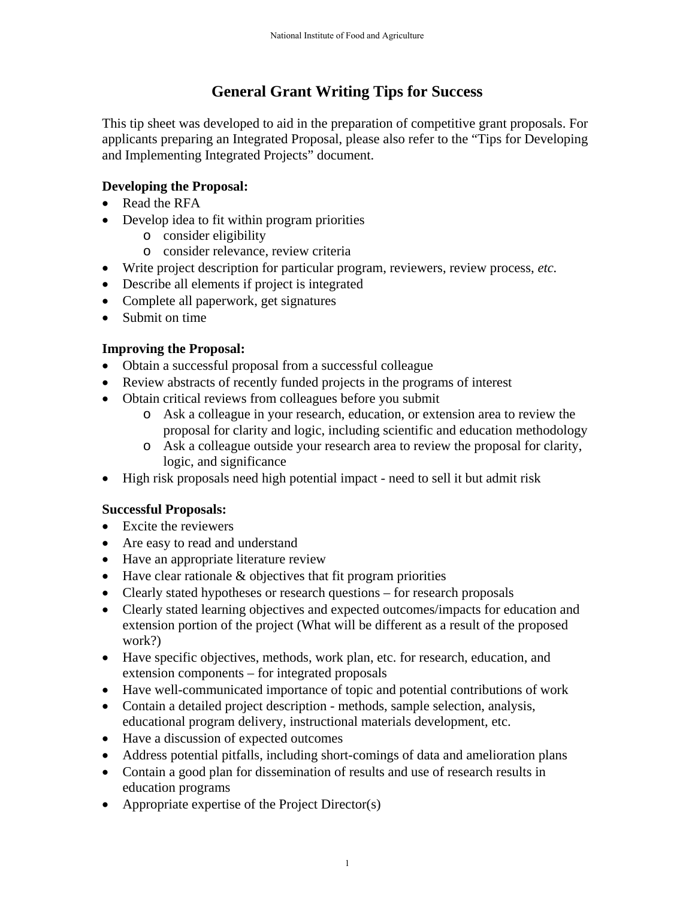# **General Grant Writing Tips for Success**

This tip sheet was developed to aid in the preparation of competitive grant proposals. For applicants preparing an Integrated Proposal, please also refer to the "Tips for Developing and Implementing Integrated Projects" document.

## **Developing the Proposal:**

- Read the RFA
- Develop idea to fit within program priorities
	- o consider eligibility
	- o consider relevance, review criteria
- Write project description for particular program, reviewers, review process, *etc.*
- Describe all elements if project is integrated
- Complete all paperwork, get signatures
- Submit on time

### **Improving the Proposal:**

- Obtain a successful proposal from a successful colleague
- Review abstracts of recently funded projects in the programs of interest
- Obtain critical reviews from colleagues before you submit
	- o Ask a colleague in your research, education, or extension area to review the proposal for clarity and logic, including scientific and education methodology
	- o Ask a colleague outside your research area to review the proposal for clarity, logic, and significance
- High risk proposals need high potential impact need to sell it but admit risk

#### **Successful Proposals:**

- Excite the reviewers
- Are easy to read and understand
- Have an appropriate literature review
- $\bullet$  Have clear rationale  $\&$  objectives that fit program priorities
- Clearly stated hypotheses or research questions for research proposals
- Clearly stated learning objectives and expected outcomes/impacts for education and extension portion of the project (What will be different as a result of the proposed work?)
- Have specific objectives, methods, work plan, etc. for research, education, and extension components – for integrated proposals
- Have well-communicated importance of topic and potential contributions of work
- Contain a detailed project description methods, sample selection, analysis, educational program delivery, instructional materials development, etc.
- Have a discussion of expected outcomes
- Address potential pitfalls, including short-comings of data and amelioration plans
- Contain a good plan for dissemination of results and use of research results in education programs
- Appropriate expertise of the Project Director(s)